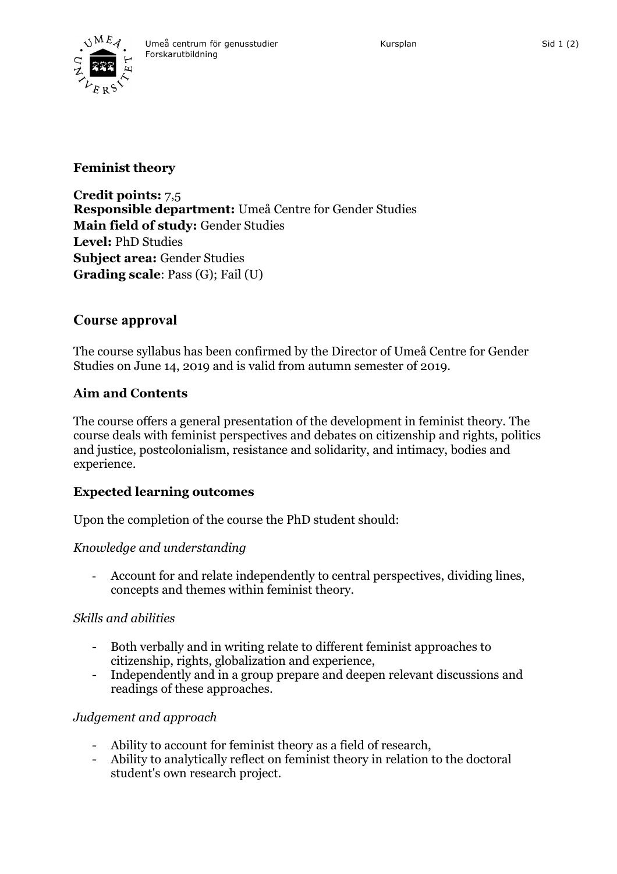

# **Feminist theory**

**Credit points:** 7,5 **Responsible department:** Umeå Centre for Gender Studies **Main field of study:** Gender Studies **Level:** PhD Studies **Subject area:** Gender Studies **Grading scale**: Pass (G); Fail (U)

## **Course approval**

The course syllabus has been confirmed by the Director of Umeå Centre for Gender Studies on June 14, 2019 and is valid from autumn semester of 2019.

## **Aim and Contents**

The course offers a general presentation of the development in feminist theory. The course deals with feminist perspectives and debates on citizenship and rights, politics and justice, postcolonialism, resistance and solidarity, and intimacy, bodies and experience.

## **Expected learning outcomes**

Upon the completion of the course the PhD student should:

## *Knowledge and understanding*

- Account for and relate independently to central perspectives, dividing lines, concepts and themes within feminist theory.

## *Skills and abilities*

- Both verbally and in writing relate to different feminist approaches to citizenship, rights, globalization and experience,
- Independently and in a group prepare and deepen relevant discussions and readings of these approaches.

## *Judgement and approach*

- Ability to account for feminist theory as a field of research,
- Ability to analytically reflect on feminist theory in relation to the doctoral student's own research project.